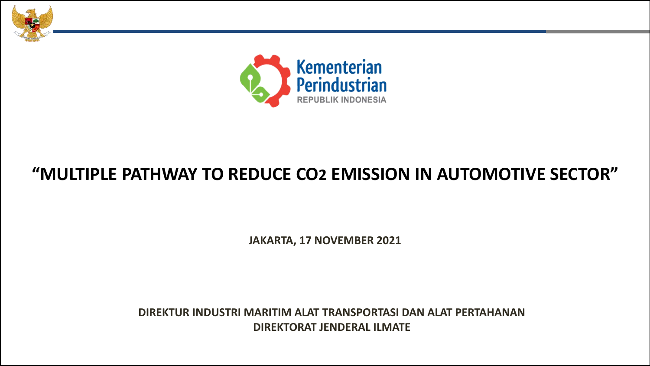



# **"MULTIPLE PATHWAY TO REDUCE CO2 EMISSION IN AUTOMOTIVE SECTOR"**

**JAKARTA, 17 NOVEMBER 2021**

**DIREKTUR INDUSTRI MARITIM ALAT TRANSPORTASI DAN ALAT PERTAHANAN DIREKTORAT JENDERAL ILMATE**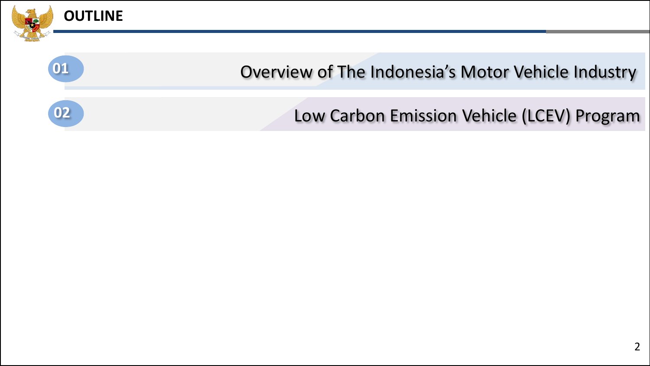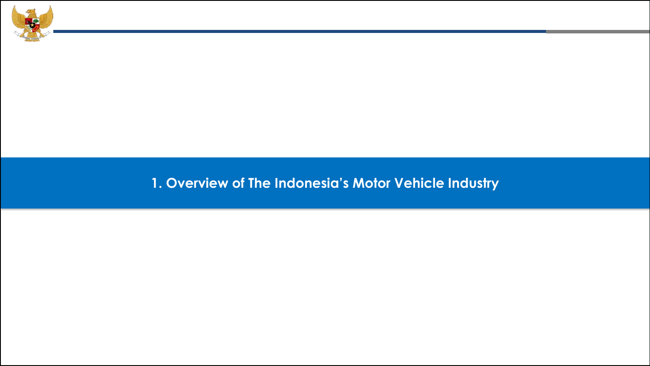

### **1. Overview of The Indonesia's Motor Vehicle Industry**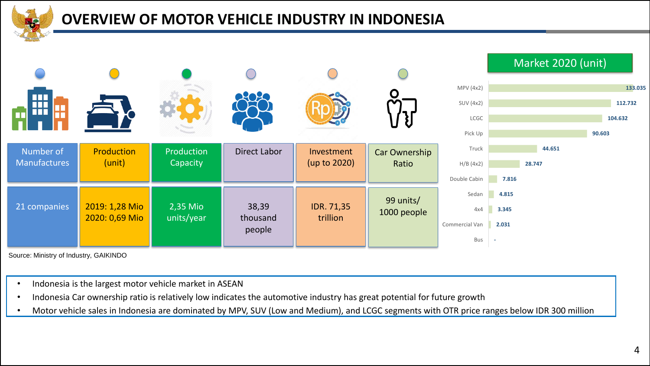

### **OVERVIEW OF MOTOR VEHICLE INDUSTRY IN INDONESIA**



Source: Ministry of Industry, GAIKINDO

- Indonesia is the largest motor vehicle market in ASEAN
- Indonesia Car ownership ratio is relatively low indicates the automotive industry has great potential for future growth
- Motor vehicle sales in Indonesia are dominated by MPV, SUV (Low and Medium), and LCGC segments with OTR price ranges below IDR 300 million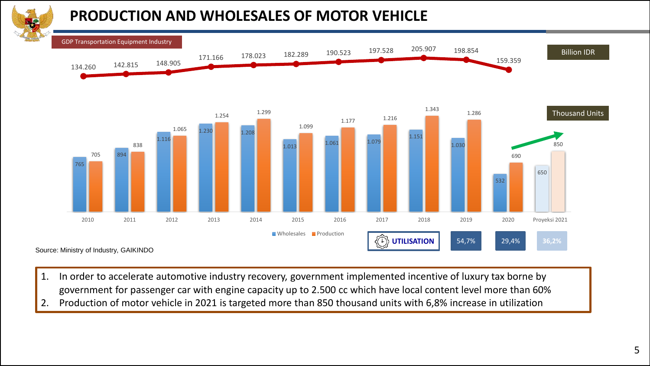# **PRODUCTION AND WHOLESALES OF MOTOR VEHICLE**



- 1. In order to accelerate automotive industry recovery, government implemented incentive of luxury tax borne by government for passenger car with engine capacity up to 2.500 cc which have local content level more than 60%
- 2. Production of motor vehicle in 2021 is targeted more than 850 thousand units with 6,8% increase in utilization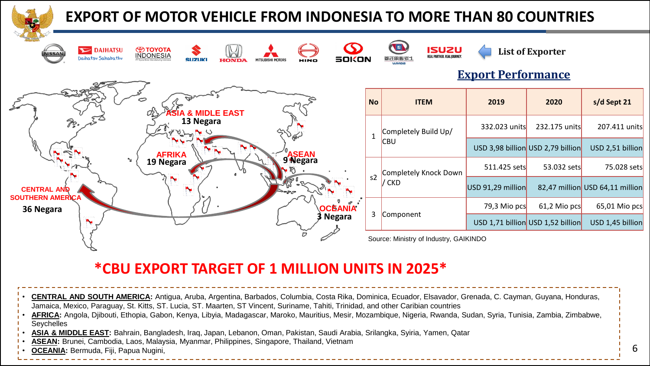| <b>EXPORT OF MOTOR VEHICLE FROM INDONESIA TO MORE THAN 80 COUNTRIES</b>                                                                                                                                                                                                                                                                                                                                                                                                                                                                                                                                                      |              |                                            |                           |                                   |                                 |  |  |  |
|------------------------------------------------------------------------------------------------------------------------------------------------------------------------------------------------------------------------------------------------------------------------------------------------------------------------------------------------------------------------------------------------------------------------------------------------------------------------------------------------------------------------------------------------------------------------------------------------------------------------------|--------------|--------------------------------------------|---------------------------|-----------------------------------|---------------------------------|--|--|--|
| <b>ED TOYOTA</b><br><b>DAIHATSU</b><br><b>INDONESIA</b><br>Daihatsu Sahabatku<br>sokon<br><b>SUZUKI</b><br>HONDA<br>HINO                                                                                                                                                                                                                                                                                                                                                                                                                                                                                                     |              | <b>ISUZU</b><br>REAL PARTNER, REAL IOURNEY | <b>Export Performance</b> | <b>List of Exporter</b>           |                                 |  |  |  |
| <b>IDLE EAST</b>                                                                                                                                                                                                                                                                                                                                                                                                                                                                                                                                                                                                             | <b>No</b>    | <b>ITEM</b>                                | 2019                      | 2020                              | s/d Sept 21                     |  |  |  |
| 13 Negara<br><b>AFRIKA</b><br>9 Negara<br>19 Negara<br><b>CENTRAL AND</b><br><b>SOUTHERN AMERICA</b><br><b>OCEANIA</b><br>36 Negara<br>3 Negara                                                                                                                                                                                                                                                                                                                                                                                                                                                                              | $\mathbf{1}$ | Completely Build Up/<br><b>CBU</b>         | 332.023 units             | 232.175 units                     | 207.411 units                   |  |  |  |
|                                                                                                                                                                                                                                                                                                                                                                                                                                                                                                                                                                                                                              |              |                                            |                           | USD 3,98 billion USD 2,79 billion | USD 2,51 billion                |  |  |  |
|                                                                                                                                                                                                                                                                                                                                                                                                                                                                                                                                                                                                                              |              | <b>Completely Knock Down</b><br>/ CKD      | 511.425 sets              | 53.032 sets                       | 75.028 sets                     |  |  |  |
|                                                                                                                                                                                                                                                                                                                                                                                                                                                                                                                                                                                                                              | s2           |                                            | USD 91,29 million         |                                   | 82,47 million USD 64,11 million |  |  |  |
|                                                                                                                                                                                                                                                                                                                                                                                                                                                                                                                                                                                                                              |              | 3 Component                                | 79,3 Mio pcs              | 61,2 Mio pcs                      | 65,01 Mio pcs                   |  |  |  |
|                                                                                                                                                                                                                                                                                                                                                                                                                                                                                                                                                                                                                              |              |                                            |                           | USD 1,71 billion USD 1,52 billion | USD 1,45 billion                |  |  |  |
|                                                                                                                                                                                                                                                                                                                                                                                                                                                                                                                                                                                                                              |              | Source: Ministry of Industry, GAIKINDO     |                           |                                   |                                 |  |  |  |
| *CBU EXPORT TARGET OF 1 MILLION UNITS IN 2025*                                                                                                                                                                                                                                                                                                                                                                                                                                                                                                                                                                               |              |                                            |                           |                                   |                                 |  |  |  |
| <b>CENTRAL AND SOUTH AMERICA:</b> Antigua, Aruba, Argentina, Barbados, Columbia, Costa Rika, Dominica, Ecuador, Elsavador, Grenada, C. Cayman, Guyana, Honduras,<br>Jamaica, Mexico, Paraguay, St. Kitts, ST. Lucia, ST. Maarten, ST Vincent, Suriname, Tahiti, Trinidad, and other Caribian countries<br>AFRICA: Angola, Djibouti, Ethopia, Gabon, Kenya, Libyia, Madagascar, Maroko, Mauritius, Mesir, Mozambique, Nigeria, Rwanda, Sudan, Syria, Tunisia, Zambia, Zimbabwe,<br>Seychelles<br>ASIA & MIDDLE EAST: Bahrain, Bangladesh, Iraq, Japan, Lebanon, Oman, Pakistan, Saudi Arabia, Srilangka, Syiria, Yamen, Qatar |              |                                            |                           |                                   |                                 |  |  |  |

- **ASEAN:** Brunei, Cambodia, Laos, Malaysia, Myanmar, Philippines, Singapore, Thailand, Vietnam
- **OCEANIA:** Bermuda, Fiji, Papua Nugini,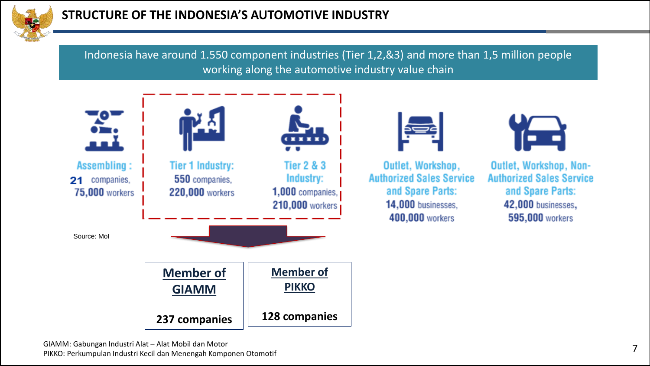

Indonesia have around 1.550 component industries (Tier 1,2,&3) and more than 1,5 million people working along the automotive industry value chain

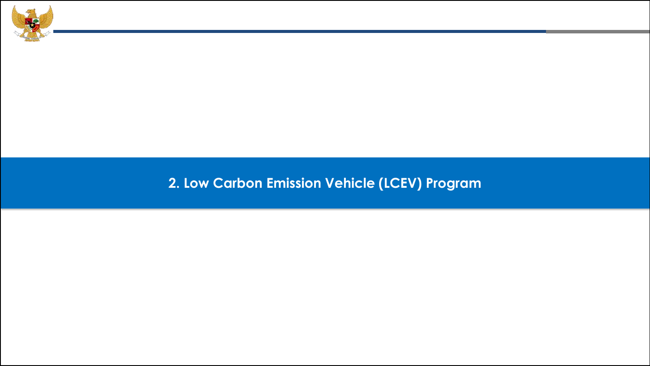

## **2. Low Carbon Emission Vehicle (LCEV) Program**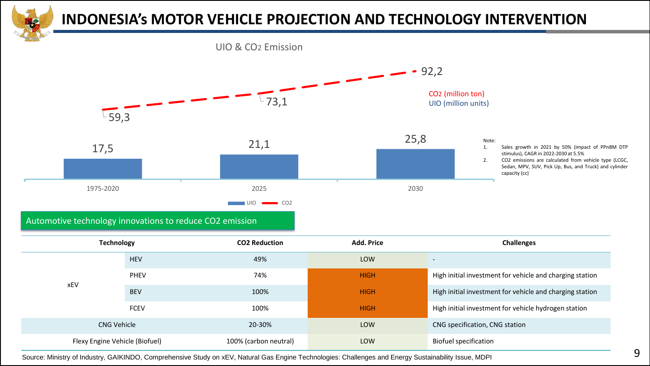

### **INDONESIA's MOTOR VEHICLE PROJECTION AND TECHNOLOGY INTERVENTION**

UIO & CO2 Emission



Automotive technology innovations to reduce CO2 emission

| <b>Technology</b>              |             | <b>CO2 Reduction</b>  | <b>Add. Price</b> | <b>Challenges</b>                                        |
|--------------------------------|-------------|-----------------------|-------------------|----------------------------------------------------------|
|                                | <b>HEV</b>  | 49%                   | LOW               | $\overline{\phantom{0}}$                                 |
|                                | <b>PHEV</b> | 74%                   | <b>HIGH</b>       | High initial investment for vehicle and charging station |
| xEV                            | <b>BEV</b>  | 100%                  | <b>HIGH</b>       | High initial investment for vehicle and charging station |
|                                | <b>FCEV</b> | 100%                  | <b>HIGH</b>       | High initial investment for vehicle hydrogen station     |
| <b>CNG Vehicle</b>             |             | 20-30%                | LOW               | CNG specification, CNG station                           |
| Flexy Engine Vehicle (Biofuel) |             | 100% (carbon neutral) | LOW               | <b>Biofuel specification</b>                             |

Source: Ministry of Industry, GAIKINDO, Comprehensive Study on xEV, Natural Gas Engine Technologies: Challenges and Energy Sustainability Issue, MDPI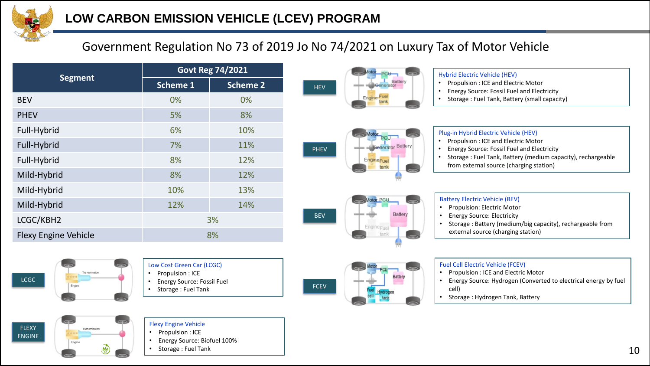

### Government Regulation No 73 of 2019 Jo No 74/2021 on Luxury Tax of Motor Vehicle

|                             | <b>Govt Reg 74/2021</b> |                 |  |  |
|-----------------------------|-------------------------|-----------------|--|--|
| <b>Segment</b>              | <b>Scheme 1</b>         | <b>Scheme 2</b> |  |  |
| <b>BEV</b>                  | 0%                      | 0%              |  |  |
| <b>PHEV</b>                 | 5%                      | 8%              |  |  |
| Full-Hybrid                 | 6%                      | 10%             |  |  |
| Full-Hybrid                 | 7%                      | 11%             |  |  |
| Full-Hybrid                 | 8%                      | 12%             |  |  |
| Mild-Hybrid                 | 8%                      | 12%             |  |  |
| Mild-Hybrid                 | 10%                     | 13%             |  |  |
| Mild-Hybrid                 | 12%                     | 14%             |  |  |
| LCGC/KBH2                   | 3%                      |                 |  |  |
| <b>Flexy Engine Vehicle</b> | 8%                      |                 |  |  |





#### Hybrid Electric Vehicle (HEV)

- Propulsion : ICE and Electric Motor
- Energy Source: Fossil Fuel and Electricity
- Storage : Fuel Tank, Battery (small capacity)



- 
- Energy Source: Fossil Fuel and Electricity
- Storage : Fuel Tank, Battery (medium capacity), rechargeable from external source (charging station)



PHEV

#### Battery Electric Vehicle (BEV)

- Propulsion: Electric Motor
- Energy Source: Electricity
- Storage : Battery (medium/big capacity), rechargeable from external source (charging station)



FLEXY ENGINE





- Propulsion : ICE
- Energy Source: Fossil Fuel
- Storage : Fuel Tank

#### Flexy Engine Vehicle • Propulsion : ICE

- Energy Source: Biofuel 100%
- Storage : Fuel Tank



#### Fuel Cell Electric Vehicle (FCEV)

- Propulsion : ICE and Electric Motor
- Energy Source: Hydrogen (Converted to electrical energy by fuel cell)
- Storage : Hydrogen Tank, Battery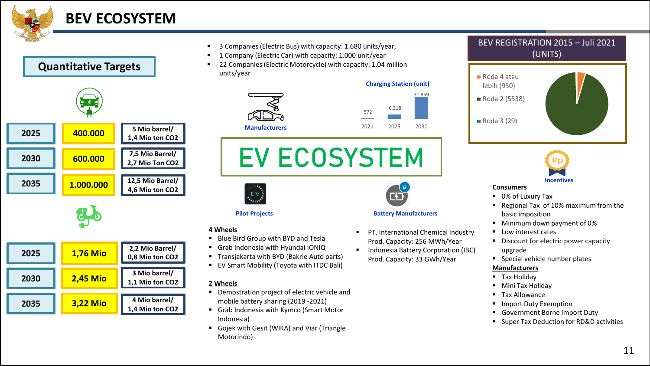